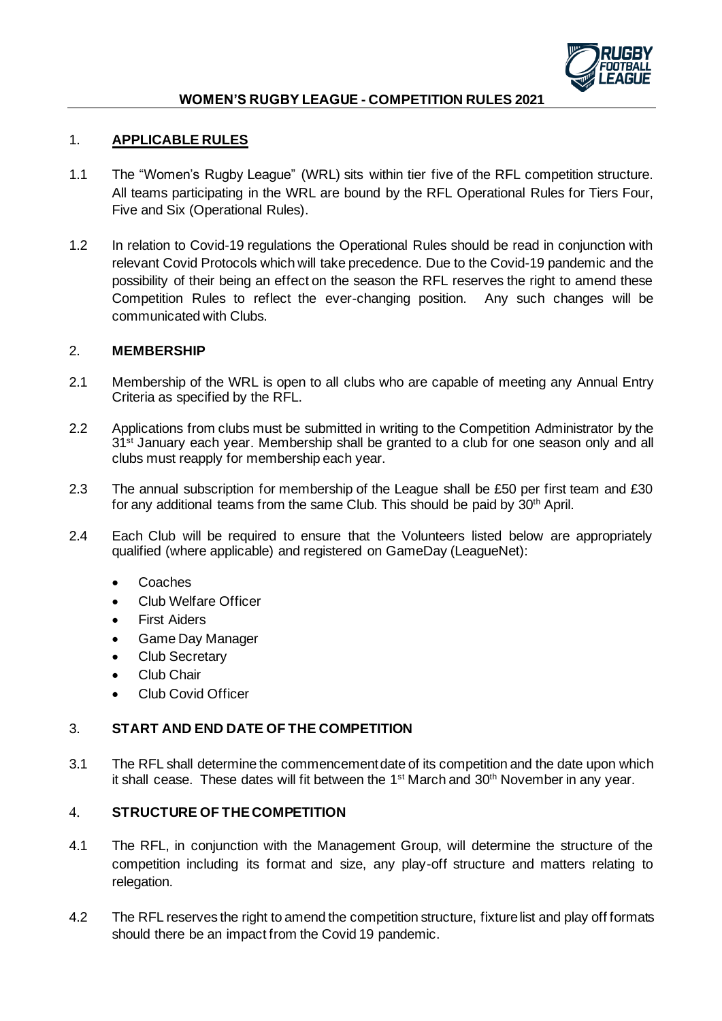

### 1. **APPLICABLE RULES**

- 1.1 The "Women's Rugby League" (WRL) sits within tier five of the RFL competition structure. All teams participating in the WRL are bound by the RFL Operational Rules for Tiers Four, Five and Six (Operational Rules).
- 1.2 In relation to Covid-19 regulations the Operational Rules should be read in conjunction with relevant Covid Protocols which will take precedence. Due to the Covid-19 pandemic and the possibility of their being an effect on the season the RFL reserves the right to amend these Competition Rules to reflect the ever-changing position. Any such changes will be communicated with Clubs.

#### 2. **MEMBERSHIP**

- 2.1 Membership of the WRL is open to all clubs who are capable of meeting any Annual Entry Criteria as specified by the RFL.
- 2.2 Applications from clubs must be submitted in writing to the Competition Administrator by the 31<sup>st</sup> January each year. Membership shall be granted to a club for one season only and all clubs must reapply for membership each year.
- 2.3 The annual subscription for membership of the League shall be £50 per first team and £30 for any additional teams from the same Club. This should be paid by 30th April.
- 2.4 Each Club will be required to ensure that the Volunteers listed below are appropriately qualified (where applicable) and registered on GameDay (LeagueNet):
	- Coaches
	- Club Welfare Officer
	- **First Aiders**
	- Game Day Manager
	- Club Secretary
	- Club Chair
	- Club Covid Officer

### 3. **START AND END DATE OF THE COMPETITION**

3.1 The RFL shall determine the commencement date of its competition and the date upon which it shall cease. These dates will fit between the 1<sup>st</sup> March and 30<sup>th</sup> November in any year.

## 4. **STRUCTURE OF THE COMPETITION**

- 4.1 The RFL, in conjunction with the Management Group, will determine the structure of the competition including its format and size, any play-off structure and matters relating to relegation.
- 4.2 The RFL reserves the right to amend the competition structure, fixture list and play off formats should there be an impact from the Covid 19 pandemic.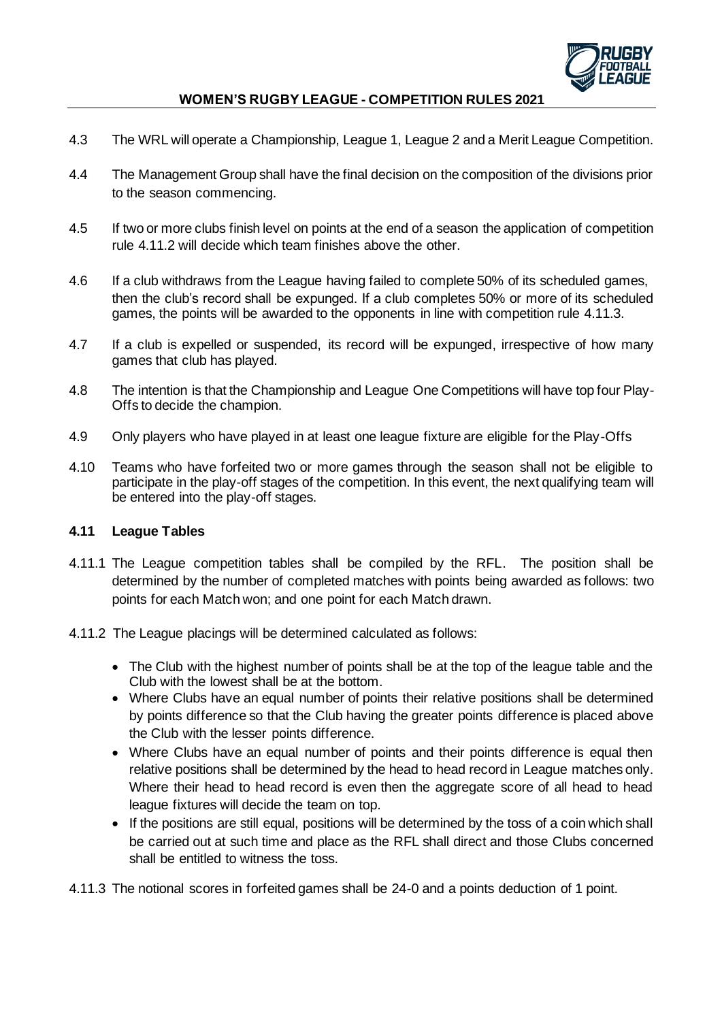

- 4.3 The WRL will operate a Championship, League 1, League 2 and a Merit League Competition.
- 4.4 The Management Group shall have the final decision on the composition of the divisions prior to the season commencing.
- 4.5 If two or more clubs finish level on points at the end of a season the application of competition rule 4.11.2 will decide which team finishes above the other.
- 4.6 If a club withdraws from the League having failed to complete 50% of its scheduled games, then the club's record shall be expunged. If a club completes 50% or more of its scheduled games, the points will be awarded to the opponents in line with competition rule 4.11.3.
- 4.7 If a club is expelled or suspended, its record will be expunged, irrespective of how many games that club has played.
- 4.8 The intention is that the Championship and League One Competitions will have top four Play-Offs to decide the champion.
- 4.9 Only players who have played in at least one league fixture are eligible for the Play-Offs
- 4.10 Teams who have forfeited two or more games through the season shall not be eligible to participate in the play-off stages of the competition. In this event, the next qualifying team will be entered into the play-off stages.

#### **4.11 League Tables**

- 4.11.1 The League competition tables shall be compiled by the RFL. The position shall be determined by the number of completed matches with points being awarded as follows: two points for each Match won; and one point for each Match drawn.
- 4.11.2 The League placings will be determined calculated as follows:
	- The Club with the highest number of points shall be at the top of the league table and the Club with the lowest shall be at the bottom.
	- Where Clubs have an equal number of points their relative positions shall be determined by points difference so that the Club having the greater points difference is placed above the Club with the lesser points difference.
	- Where Clubs have an equal number of points and their points difference is equal then relative positions shall be determined by the head to head record in League matches only. Where their head to head record is even then the aggregate score of all head to head league fixtures will decide the team on top.
	- If the positions are still equal, positions will be determined by the toss of a coin which shall be carried out at such time and place as the RFL shall direct and those Clubs concerned shall be entitled to witness the toss.

4.11.3 The notional scores in forfeited games shall be 24-0 and a points deduction of 1 point.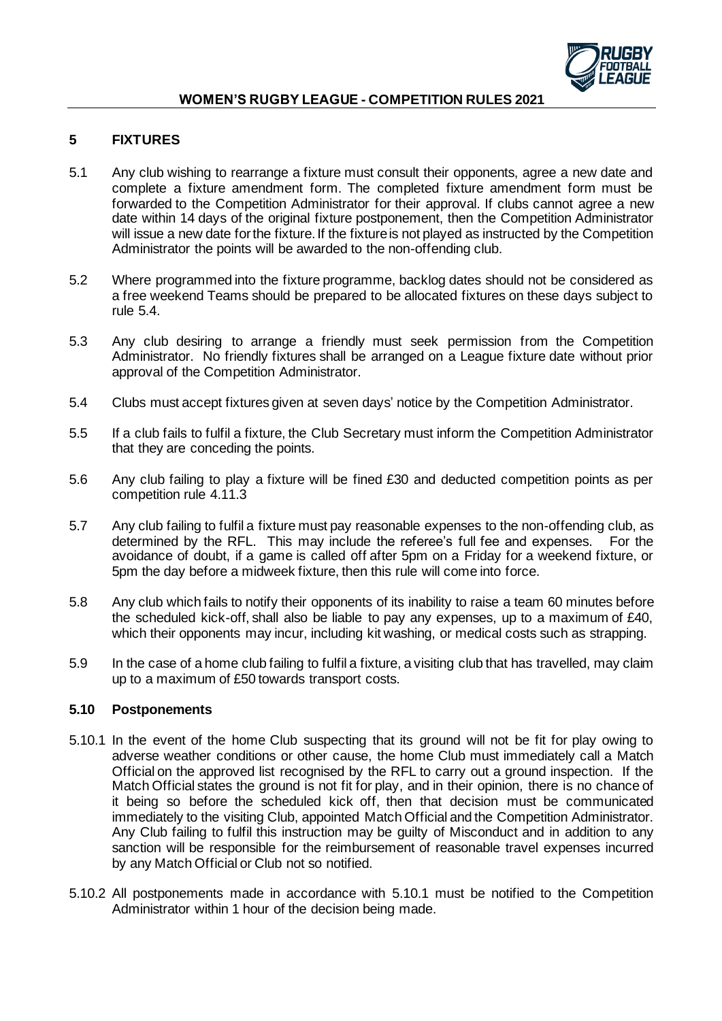

## **5 FIXTURES**

- 5.1 Any club wishing to rearrange a fixture must consult their opponents, agree a new date and complete a fixture amendment form. The completed fixture amendment form must be forwarded to the Competition Administrator for their approval. If clubs cannot agree a new date within 14 days of the original fixture postponement, then the Competition Administrator will issue a new date for the fixture. If the fixture is not played as instructed by the Competition Administrator the points will be awarded to the non-offending club.
- 5.2 Where programmed into the fixture programme, backlog dates should not be considered as a free weekend Teams should be prepared to be allocated fixtures on these days subject to rule 5.4.
- 5.3 Any club desiring to arrange a friendly must seek permission from the Competition Administrator. No friendly fixtures shall be arranged on a League fixture date without prior approval of the Competition Administrator.
- 5.4 Clubs must accept fixtures given at seven days' notice by the Competition Administrator.
- 5.5 If a club fails to fulfil a fixture, the Club Secretary must inform the Competition Administrator that they are conceding the points.
- 5.6 Any club failing to play a fixture will be fined £30 and deducted competition points as per competition rule 4.11.3
- 5.7 Any club failing to fulfil a fixture must pay reasonable expenses to the non-offending club, as determined by the RFL. This may include the referee's full fee and expenses. For the avoidance of doubt, if a game is called off after 5pm on a Friday for a weekend fixture, or 5pm the day before a midweek fixture, then this rule will come into force.
- 5.8 Any club which fails to notify their opponents of its inability to raise a team 60 minutes before the scheduled kick-off, shall also be liable to pay any expenses, up to a maximum of £40, which their opponents may incur, including kit washing, or medical costs such as strapping.
- 5.9 In the case of a home club failing to fulfil a fixture, a visiting club that has travelled, may claim up to a maximum of £50 towards transport costs.

#### **5.10 Postponements**

- 5.10.1 In the event of the home Club suspecting that its ground will not be fit for play owing to adverse weather conditions or other cause, the home Club must immediately call a Match Official on the approved list recognised by the RFL to carry out a ground inspection. If the Match Official states the ground is not fit for play, and in their opinion, there is no chance of it being so before the scheduled kick off, then that decision must be communicated immediately to the visiting Club, appointed Match Official and the Competition Administrator. Any Club failing to fulfil this instruction may be guilty of Misconduct and in addition to any sanction will be responsible for the reimbursement of reasonable travel expenses incurred by any Match Official or Club not so notified.
- 5.10.2 All postponements made in accordance with 5.10.1 must be notified to the Competition Administrator within 1 hour of the decision being made.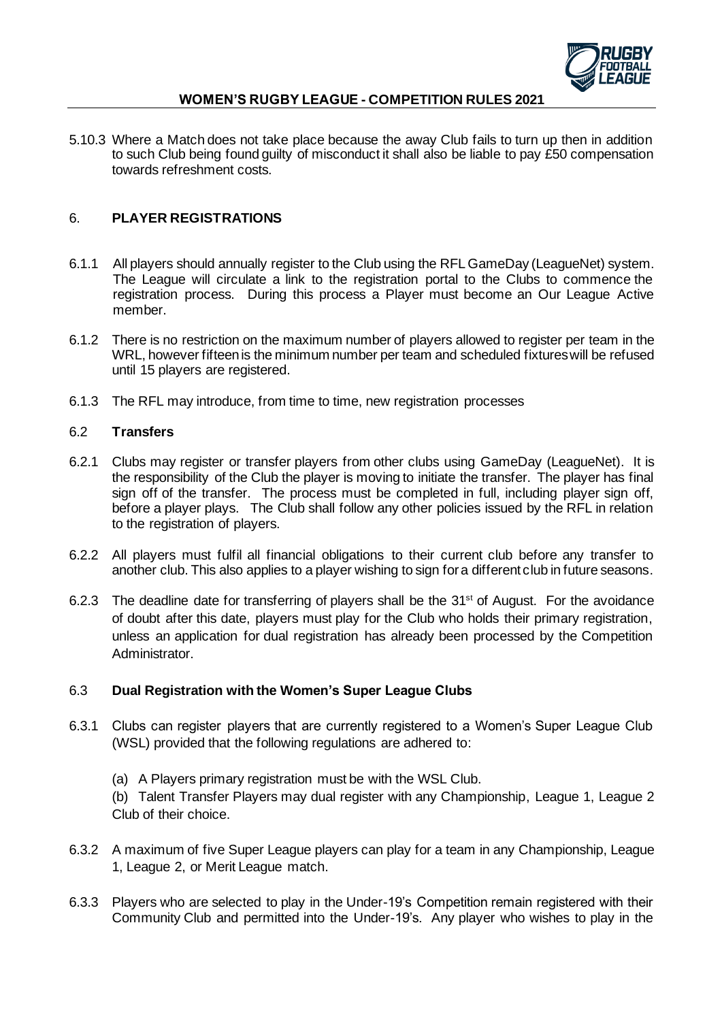

5.10.3 Where a Match does not take place because the away Club fails to turn up then in addition to such Club being found guilty of misconduct it shall also be liable to pay £50 compensation towards refreshment costs.

## 6. **PLAYER REGISTRATIONS**

- 6.1.1 All players should annually register to the Club using the RFL GameDay (LeagueNet) system. The League will circulate a link to the registration portal to the Clubs to commence the registration process. During this process a Player must become an Our League Active member.
- 6.1.2 There is no restriction on the maximum number of players allowed to register per team in the WRL, however fifteenis the minimum number per team and scheduled fixtures will be refused until 15 players are registered.
- 6.1.3 The RFL may introduce, from time to time, new registration processes

#### 6.2 **Transfers**

- 6.2.1 Clubs may register or transfer players from other clubs using GameDay (LeagueNet). It is the responsibility of the Club the player is moving to initiate the transfer. The player has final sign off of the transfer. The process must be completed in full, including player sign off, before a player plays. The Club shall follow any other policies issued by the RFL in relation to the registration of players.
- 6.2.2 All players must fulfil all financial obligations to their current club before any transfer to another club. This also applies to a player wishing to sign for a different club in future seasons.
- 6.2.3 The deadline date for transferring of players shall be the 31<sup>st</sup> of August. For the avoidance of doubt after this date, players must play for the Club who holds their primary registration, unless an application for dual registration has already been processed by the Competition Administrator.

### 6.3 **Dual Registration with the Women's Super League Clubs**

- 6.3.1 Clubs can register players that are currently registered to a Women's Super League Club (WSL) provided that the following regulations are adhered to:
	- (a) A Players primary registration must be with the WSL Club.
	- (b) Talent Transfer Players may dual register with any Championship, League 1, League 2 Club of their choice.
- 6.3.2 A maximum of five Super League players can play for a team in any Championship, League 1, League 2, or Merit League match.
- 6.3.3 Players who are selected to play in the Under-19's Competition remain registered with their Community Club and permitted into the Under-19's. Any player who wishes to play in the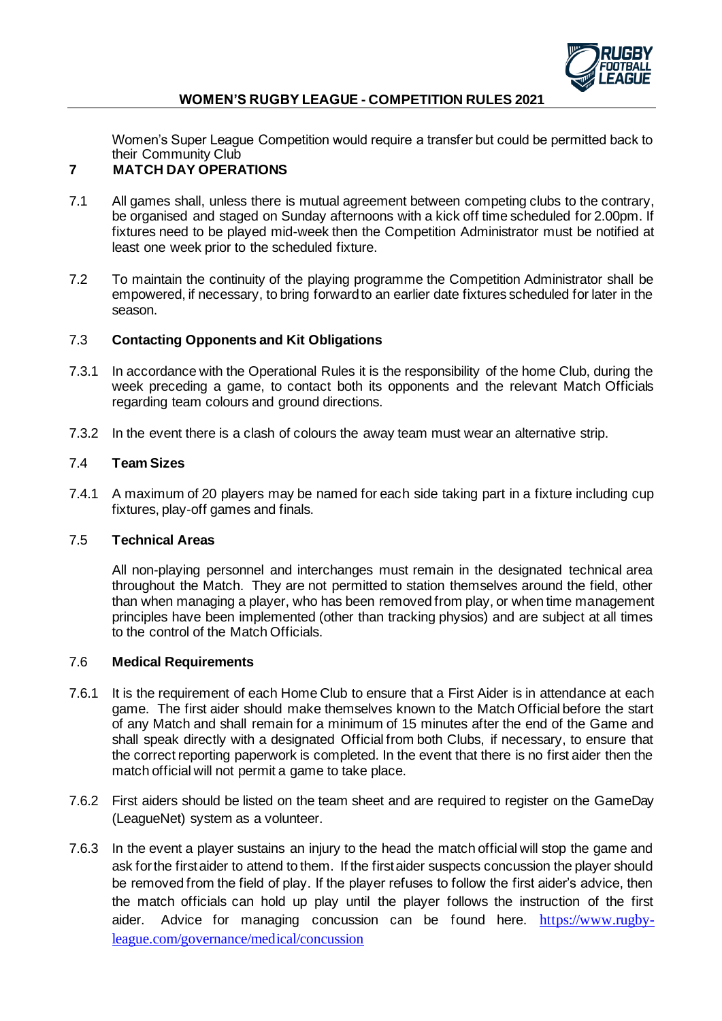

Women's Super League Competition would require a transfer but could be permitted back to their Community Club

# **7 MATCH DAY OPERATIONS**

- 7.1 All games shall, unless there is mutual agreement between competing clubs to the contrary, be organised and staged on Sunday afternoons with a kick off time scheduled for 2.00pm. If fixtures need to be played mid-week then the Competition Administrator must be notified at least one week prior to the scheduled fixture.
- 7.2 To maintain the continuity of the playing programme the Competition Administrator shall be empowered, if necessary, to bring forward to an earlier date fixtures scheduled for later in the season.

### 7.3 **Contacting Opponents and Kit Obligations**

- 7.3.1 In accordance with the Operational Rules it is the responsibility of the home Club, during the week preceding a game, to contact both its opponents and the relevant Match Officials regarding team colours and ground directions.
- 7.3.2 In the event there is a clash of colours the away team must wear an alternative strip.

#### 7.4 **Team Sizes**

7.4.1 A maximum of 20 players may be named for each side taking part in a fixture including cup fixtures, play-off games and finals.

#### 7.5 **Technical Areas**

All non-playing personnel and interchanges must remain in the designated technical area throughout the Match. They are not permitted to station themselves around the field, other than when managing a player, who has been removed from play, or when time management principles have been implemented (other than tracking physios) and are subject at all times to the control of the Match Officials.

### 7.6 **Medical Requirements**

- 7.6.1 It is the requirement of each Home Club to ensure that a First Aider is in attendance at each game. The first aider should make themselves known to the Match Official before the start of any Match and shall remain for a minimum of 15 minutes after the end of the Game and shall speak directly with a designated Official from both Clubs, if necessary, to ensure that the correct reporting paperwork is completed. In the event that there is no first aider then the match official will not permit a game to take place.
- 7.6.2 First aiders should be listed on the team sheet and are required to register on the GameDay (LeagueNet) system as a volunteer.
- 7.6.3 In the event a player sustains an injury to the head the match official will stop the game and ask for the first aider to attend to them. If the first aider suspects concussion the player should be removed from the field of play. If the player refuses to follow the first aider's advice, then the match officials can hold up play until the player follows the instruction of the first aider. Advice for managing concussion can be found here. https://www.rugbyleague.com/governance/medical/concussion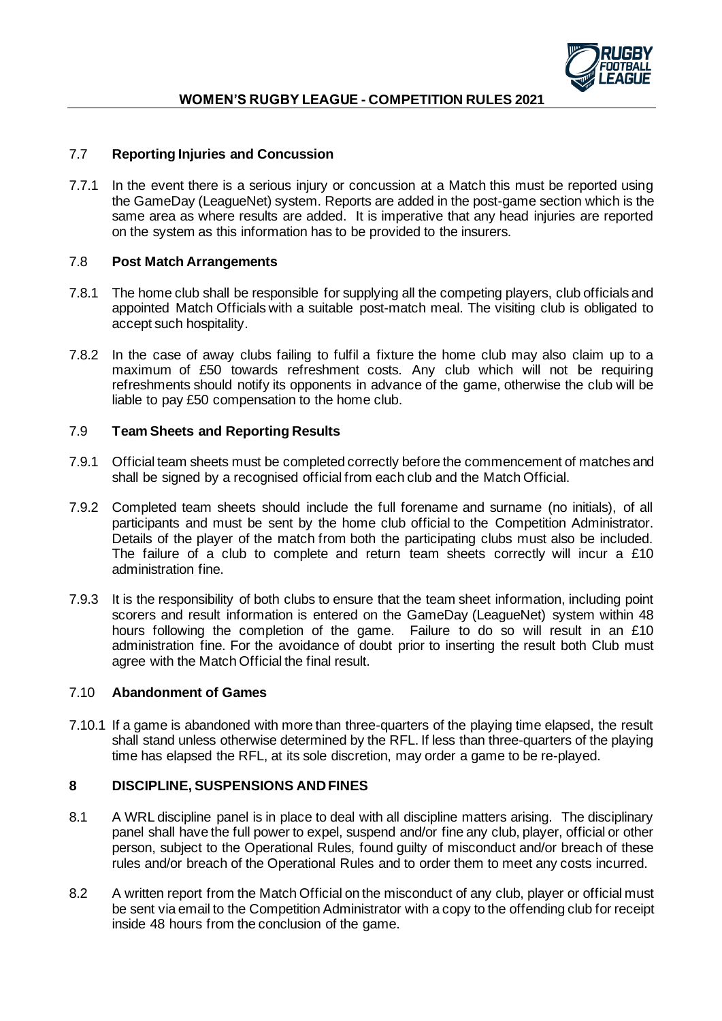

## 7.7 **Reporting Injuries and Concussion**

7.7.1 In the event there is a serious injury or concussion at a Match this must be reported using the GameDay (LeagueNet) system. Reports are added in the post-game section which is the same area as where results are added. It is imperative that any head injuries are reported on the system as this information has to be provided to the insurers.

### 7.8 **Post Match Arrangements**

- 7.8.1 The home club shall be responsible for supplying all the competing players, club officials and appointed Match Officials with a suitable post-match meal. The visiting club is obligated to accept such hospitality.
- 7.8.2 In the case of away clubs failing to fulfil a fixture the home club may also claim up to a maximum of £50 towards refreshment costs. Any club which will not be requiring refreshments should notify its opponents in advance of the game, otherwise the club will be liable to pay £50 compensation to the home club.

### 7.9 **Team Sheets and Reporting Results**

- 7.9.1 Official team sheets must be completed correctly before the commencement of matches and shall be signed by a recognised official from each club and the Match Official.
- 7.9.2 Completed team sheets should include the full forename and surname (no initials), of all participants and must be sent by the home club official to the Competition Administrator. Details of the player of the match from both the participating clubs must also be included. The failure of a club to complete and return team sheets correctly will incur a £10 administration fine.
- 7.9.3 It is the responsibility of both clubs to ensure that the team sheet information, including point scorers and result information is entered on the GameDay (LeagueNet) system within 48 hours following the completion of the game. Failure to do so will result in an £10 administration fine. For the avoidance of doubt prior to inserting the result both Club must agree with the Match Official the final result.

### 7.10 **Abandonment of Games**

7.10.1 If a game is abandoned with more than three-quarters of the playing time elapsed, the result shall stand unless otherwise determined by the RFL. If less than three-quarters of the playing time has elapsed the RFL, at its sole discretion, may order a game to be re-played.

### **8 DISCIPLINE, SUSPENSIONS AND FINES**

- 8.1 A WRL discipline panel is in place to deal with all discipline matters arising. The disciplinary panel shall have the full power to expel, suspend and/or fine any club, player, official or other person, subject to the Operational Rules, found guilty of misconduct and/or breach of these rules and/or breach of the Operational Rules and to order them to meet any costs incurred.
- 8.2 A written report from the Match Official on the misconduct of any club, player or official must be sent via email to the Competition Administrator with a copy to the offending club for receipt inside 48 hours from the conclusion of the game.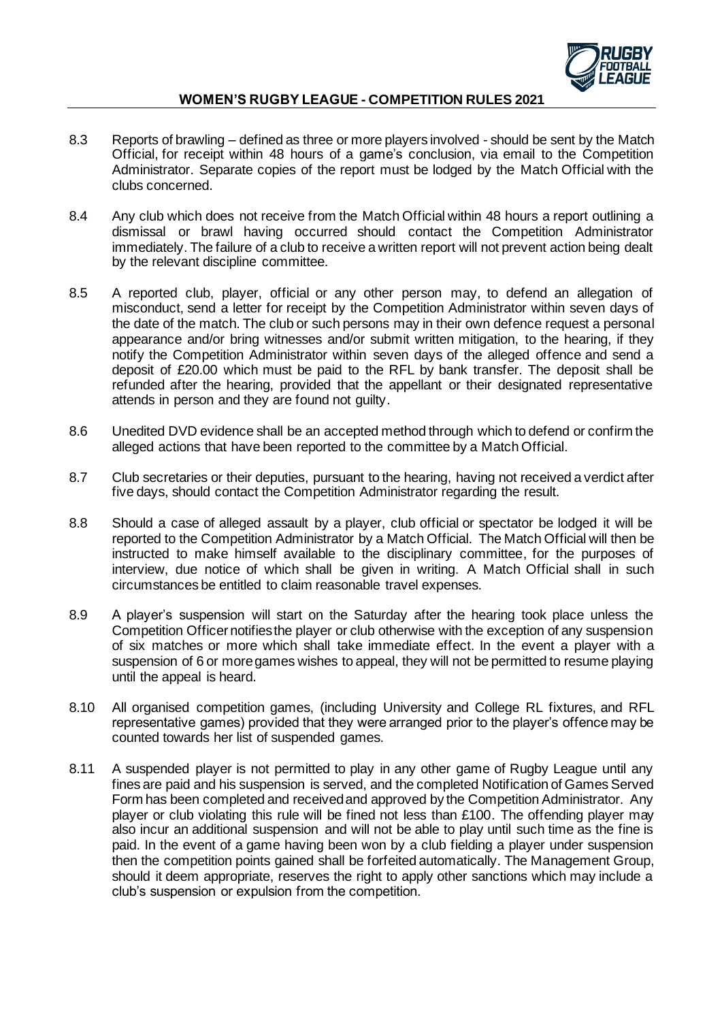

- 8.3 Reports of brawling defined as three or more players involved should be sent by the Match Official, for receipt within 48 hours of a game's conclusion, via email to the Competition Administrator. Separate copies of the report must be lodged by the Match Official with the clubs concerned.
- 8.4 Any club which does not receive from the Match Official within 48 hours a report outlining a dismissal or brawl having occurred should contact the Competition Administrator immediately. The failure of a club to receive a written report will not prevent action being dealt by the relevant discipline committee.
- 8.5 A reported club, player, official or any other person may, to defend an allegation of misconduct, send a letter for receipt by the Competition Administrator within seven days of the date of the match. The club or such persons may in their own defence request a personal appearance and/or bring witnesses and/or submit written mitigation, to the hearing, if they notify the Competition Administrator within seven days of the alleged offence and send a deposit of £20.00 which must be paid to the RFL by bank transfer. The deposit shall be refunded after the hearing, provided that the appellant or their designated representative attends in person and they are found not guilty.
- 8.6 Unedited DVD evidence shall be an accepted method through which to defend or confirm the alleged actions that have been reported to the committee by a Match Official.
- 8.7 Club secretaries or their deputies, pursuant to the hearing, having not received a verdict after five days, should contact the Competition Administrator regarding the result.
- 8.8 Should a case of alleged assault by a player, club official or spectator be lodged it will be reported to the Competition Administrator by a Match Official. The Match Official will then be instructed to make himself available to the disciplinary committee, for the purposes of interview, due notice of which shall be given in writing. A Match Official shall in such circumstances be entitled to claim reasonable travel expenses.
- 8.9 A player's suspension will start on the Saturday after the hearing took place unless the Competition Officer notifies the player or club otherwise with the exception of any suspension of six matches or more which shall take immediate effect. In the event a player with a suspension of 6 or more games wishes to appeal, they will not be permitted to resume playing until the appeal is heard.
- 8.10 All organised competition games, (including University and College RL fixtures, and RFL representative games) provided that they were arranged prior to the player's offence may be counted towards her list of suspended games.
- 8.11 A suspended player is not permitted to play in any other game of Rugby League until any fines are paid and his suspension is served, and the completed Notification of Games Served Form has been completed and received and approved by the Competition Administrator. Any player or club violating this rule will be fined not less than £100. The offending player may also incur an additional suspension and will not be able to play until such time as the fine is paid. In the event of a game having been won by a club fielding a player under suspension then the competition points gained shall be forfeited automatically. The Management Group, should it deem appropriate, reserves the right to apply other sanctions which may include a club's suspension or expulsion from the competition.